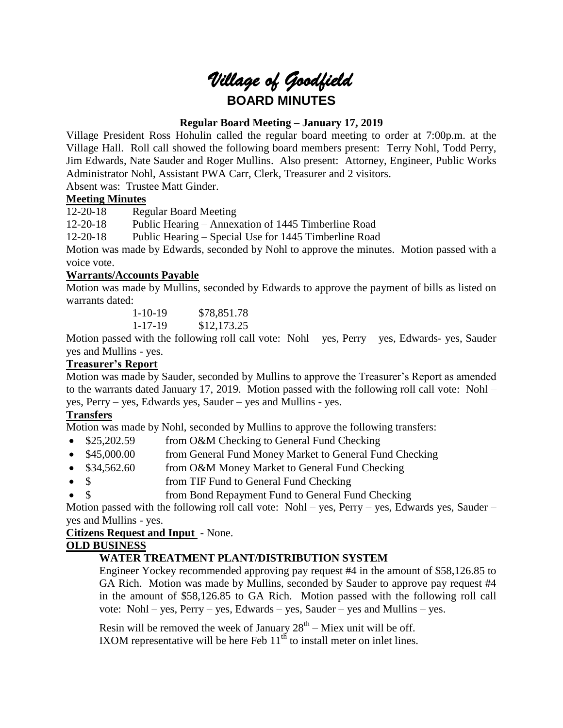# *Village of Goodfield* **BOARD MINUTES**

# **Regular Board Meeting – January 17, 2019**

Village President Ross Hohulin called the regular board meeting to order at 7:00p.m. at the Village Hall. Roll call showed the following board members present: Terry Nohl, Todd Perry, Jim Edwards, Nate Sauder and Roger Mullins. Also present: Attorney, Engineer, Public Works Administrator Nohl, Assistant PWA Carr, Clerk, Treasurer and 2 visitors.

Absent was: Trustee Matt Ginder.

# **Meeting Minutes**

12-20-18 Regular Board Meeting

12-20-18 Public Hearing – Annexation of 1445 Timberline Road

12-20-18 Public Hearing – Special Use for 1445 Timberline Road

Motion was made by Edwards, seconded by Nohl to approve the minutes. Motion passed with a voice vote.

# **Warrants/Accounts Payable**

Motion was made by Mullins, seconded by Edwards to approve the payment of bills as listed on warrants dated:

1-10-19 \$78,851.78 1-17-19 \$12,173.25

Motion passed with the following roll call vote: Nohl – yes, Perry – yes, Edwards- yes, Sauder yes and Mullins - yes.

# **Treasurer's Report**

Motion was made by Sauder, seconded by Mullins to approve the Treasurer's Report as amended to the warrants dated January 17, 2019. Motion passed with the following roll call vote: Nohl – yes, Perry – yes, Edwards yes, Sauder – yes and Mullins - yes.

# **Transfers**

Motion was made by Nohl, seconded by Mullins to approve the following transfers:

- \$25,202.59 from O&M Checking to General Fund Checking
- \$45,000.00 from General Fund Money Market to General Fund Checking
- \$34,562.60 from O&M Money Market to General Fund Checking
- \$ from TIF Fund to General Fund Checking
- \$ from Bond Repayment Fund to General Fund Checking

Motion passed with the following roll call vote: Nohl – yes, Perry – yes, Edwards yes, Sauder – yes and Mullins - yes.

## **Citizens Request and Input** - None.

## **OLD BUSINESS**

# **WATER TREATMENT PLANT/DISTRIBUTION SYSTEM**

Engineer Yockey recommended approving pay request #4 in the amount of \$58,126.85 to GA Rich. Motion was made by Mullins, seconded by Sauder to approve pay request #4 in the amount of \$58,126.85 to GA Rich. Motion passed with the following roll call vote: Nohl – yes, Perry – yes, Edwards – yes, Sauder – yes and Mullins – yes.

Resin will be removed the week of January  $28<sup>th</sup>$  – Miex unit will be off. IXOM representative will be here Feb  $11<sup>th</sup>$  to install meter on inlet lines.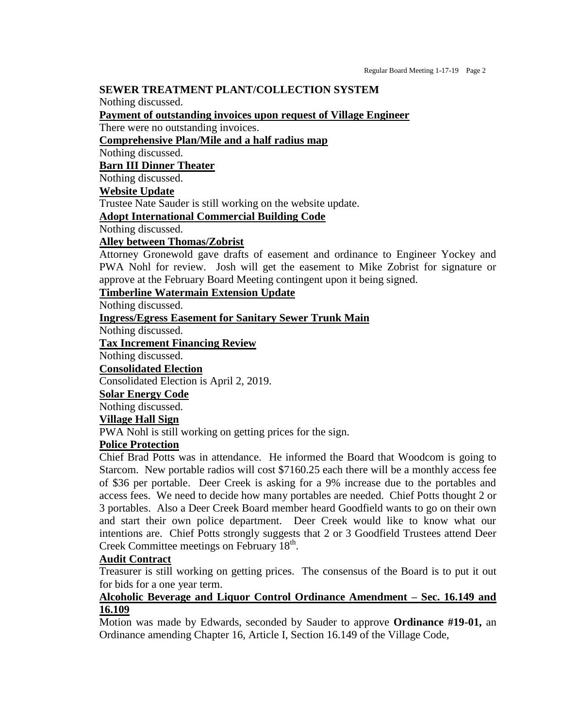#### **SEWER TREATMENT PLANT/COLLECTION SYSTEM**

Nothing discussed.

**Payment of outstanding invoices upon request of Village Engineer**

There were no outstanding invoices.

**Comprehensive Plan/Mile and a half radius map**

Nothing discussed.

**Barn III Dinner Theater**

Nothing discussed.

# **Website Update**

Trustee Nate Sauder is still working on the website update.

**Adopt International Commercial Building Code**

Nothing discussed.

#### **Alley between Thomas/Zobrist**

Attorney Gronewold gave drafts of easement and ordinance to Engineer Yockey and PWA Nohl for review. Josh will get the easement to Mike Zobrist for signature or approve at the February Board Meeting contingent upon it being signed.

#### **Timberline Watermain Extension Update**

Nothing discussed.

#### **Ingress/Egress Easement for Sanitary Sewer Trunk Main**

Nothing discussed.

#### **Tax Increment Financing Review**

Nothing discussed.

#### **Consolidated Election**

Consolidated Election is April 2, 2019.

#### **Solar Energy Code**

Nothing discussed.

## **Village Hall Sign**

PWA Nohl is still working on getting prices for the sign.

# **Police Protection**

Chief Brad Potts was in attendance. He informed the Board that Woodcom is going to Starcom. New portable radios will cost \$7160.25 each there will be a monthly access fee of \$36 per portable. Deer Creek is asking for a 9% increase due to the portables and access fees. We need to decide how many portables are needed. Chief Potts thought 2 or 3 portables. Also a Deer Creek Board member heard Goodfield wants to go on their own and start their own police department. Deer Creek would like to know what our intentions are. Chief Potts strongly suggests that 2 or 3 Goodfield Trustees attend Deer Creek Committee meetings on February 18<sup>th</sup>.

## **Audit Contract**

Treasurer is still working on getting prices. The consensus of the Board is to put it out for bids for a one year term.

# **Alcoholic Beverage and Liquor Control Ordinance Amendment – Sec. 16.149 and 16.109**

Motion was made by Edwards, seconded by Sauder to approve **Ordinance #19-01,** an Ordinance amending Chapter 16, Article I, Section 16.149 of the Village Code,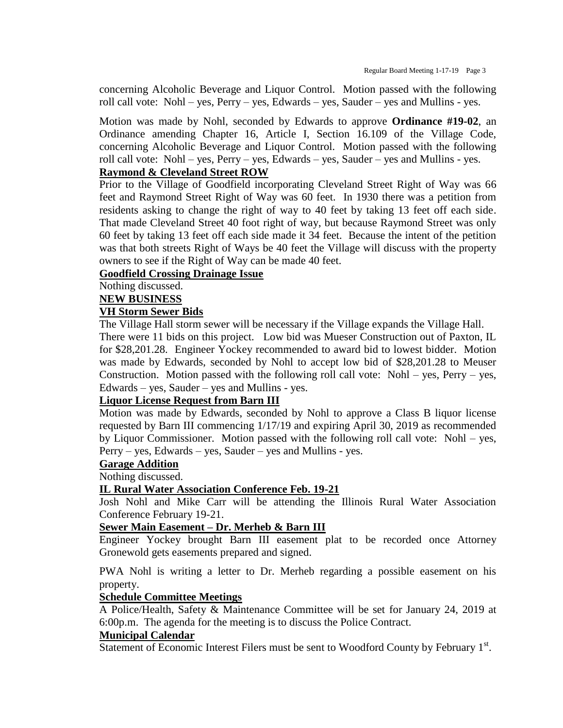concerning Alcoholic Beverage and Liquor Control. Motion passed with the following roll call vote: Nohl – yes, Perry – yes, Edwards – yes, Sauder – yes and Mullins - yes.

Motion was made by Nohl, seconded by Edwards to approve **Ordinance #19-02**, an Ordinance amending Chapter 16, Article I, Section 16.109 of the Village Code, concerning Alcoholic Beverage and Liquor Control. Motion passed with the following roll call vote: Nohl – yes, Perry – yes, Edwards – yes, Sauder – yes and Mullins - yes.

# **Raymond & Cleveland Street ROW**

Prior to the Village of Goodfield incorporating Cleveland Street Right of Way was 66 feet and Raymond Street Right of Way was 60 feet. In 1930 there was a petition from residents asking to change the right of way to 40 feet by taking 13 feet off each side. That made Cleveland Street 40 foot right of way, but because Raymond Street was only 60 feet by taking 13 feet off each side made it 34 feet. Because the intent of the petition was that both streets Right of Ways be 40 feet the Village will discuss with the property owners to see if the Right of Way can be made 40 feet.

### **Goodfield Crossing Drainage Issue**

Nothing discussed.

**NEW BUSINESS**

#### **VH Storm Sewer Bids**

The Village Hall storm sewer will be necessary if the Village expands the Village Hall.

There were 11 bids on this project. Low bid was Mueser Construction out of Paxton, IL for \$28,201.28. Engineer Yockey recommended to award bid to lowest bidder. Motion was made by Edwards, seconded by Nohl to accept low bid of \$28,201.28 to Meuser Construction. Motion passed with the following roll call vote: Nohl – yes, Perry – yes, Edwards – yes, Sauder – yes and Mullins - yes.

# **Liquor License Request from Barn III**

Motion was made by Edwards, seconded by Nohl to approve a Class B liquor license requested by Barn III commencing 1/17/19 and expiring April 30, 2019 as recommended by Liquor Commissioner. Motion passed with the following roll call vote: Nohl – yes, Perry – yes, Edwards – yes, Sauder – yes and Mullins - yes.

#### **Garage Addition**

Nothing discussed.

## **IL Rural Water Association Conference Feb. 19-21**

Josh Nohl and Mike Carr will be attending the Illinois Rural Water Association Conference February 19-21.

#### **Sewer Main Easement – Dr. Merheb & Barn III**

Engineer Yockey brought Barn III easement plat to be recorded once Attorney Gronewold gets easements prepared and signed.

PWA Nohl is writing a letter to Dr. Merheb regarding a possible easement on his property.

#### **Schedule Committee Meetings**

A Police/Health, Safety & Maintenance Committee will be set for January 24, 2019 at 6:00p.m. The agenda for the meeting is to discuss the Police Contract.

#### **Municipal Calendar**

Statement of Economic Interest Filers must be sent to Woodford County by February 1st.